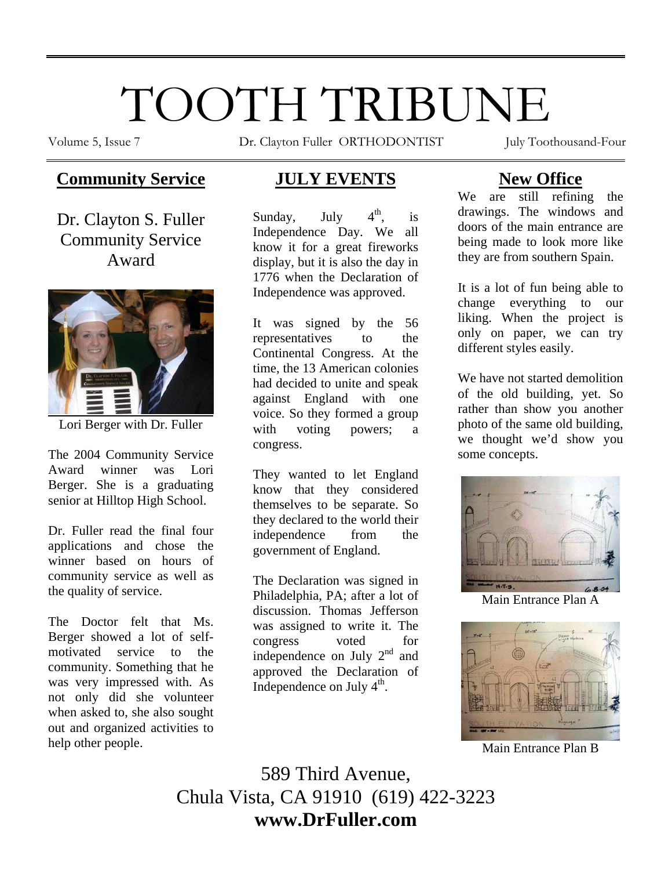# TOOTH TRIBUNE

Volume 5, Issue 7 **Dr.** Clayton Fuller ORTHODONTIST July Toothousand-Four

# **Community Service**

Dr. Clayton S. Fuller Community Service Award



Lori Berger with Dr. Fuller

The 2004 Community Service Award winner was Lori Berger. She is a graduating senior at Hilltop High School.

Dr. Fuller read the final four applications and chose the winner based on hours of community service as well as the quality of service.

The Doctor felt that Ms. Berger showed a lot of selfmotivated service to the community. Something that he was very impressed with. As not only did she volunteer when asked to, she also sought out and organized activities to help other people.

# **JULY EVENTS**

Sunday, July  $4<sup>th</sup>$ , is Independence Day. We all know it for a great fireworks display, but it is also the day in 1776 when the Declaration of Independence was approved.

It was signed by the 56 representatives to the Continental Congress. At the time, the 13 American colonies had decided to unite and speak against England with one voice. So they formed a group with voting powers; a congress.

They wanted to let England know that they considered themselves to be separate. So they declared to the world their independence from the government of England.

The Declaration was signed in Philadelphia, PA; after a lot of discussion. Thomas Jefferson was assigned to write it. The congress voted for independence on July  $2<sup>nd</sup>$  and approved the Declaration of Independence on July  $4<sup>th</sup>$ .

# **New Office**

We are still refining the drawings. The windows and doors of the main entrance are being made to look more like they are from southern Spain.

It is a lot of fun being able to change everything to our liking. When the project is only on paper, we can try different styles easily.

We have not started demolition of the old building, yet. So rather than show you another photo of the same old building, we thought we'd show you some concepts.



Main Entrance Plan A



Main Entrance Plan B

589 Third Avenue, Chula Vista, CA 91910 (619) 422-3223 **www.DrFuller.com**